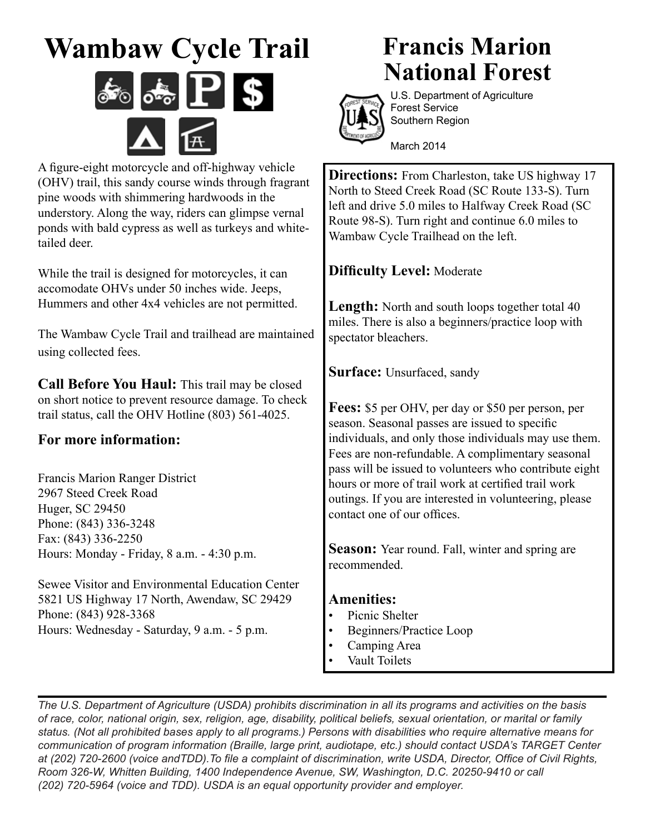# **Wambaw Cycle Trail**



A figure-eight motorcycle and off-highway vehicle (OHV) trail, this sandy course winds through fragrant pine woods with shimmering hardwoods in the understory. Along the way, riders can glimpse vernal ponds with bald cypress as well as turkeys and whitetailed deer.

While the trail is designed for motorcycles, it can accomodate OHVs under 50 inches wide. Jeeps, Hummers and other 4x4 vehicles are not permitted.

The Wambaw Cycle Trail and trailhead are maintained using collected fees.

**Call Before You Haul:** This trail may be closed on short notice to prevent resource damage. To check trail status, call the OHV Hotline (803) 561-4025.

### **For more information:**

Francis Marion Ranger District 2967 Steed Creek Road Huger, SC 29450 Phone: (843) 336-3248 Fax: (843) 336-2250 Hours: Monday - Friday, 8 a.m. - 4:30 p.m.

Sewee Visitor and Environmental Education Center 5821 US Highway 17 North, Awendaw, SC 29429 Phone: (843) 928-3368 Hours: Wednesday - Saturday, 9 a.m. - 5 p.m.

## **Francis Marion National Forest**



U.S. Department of Agriculture Forest Service Southern Region

March 2014

**Directions:** From Charleston, take US highway 17 North to Steed Creek Road (SC Route 133-S). Turn left and drive 5.0 miles to Halfway Creek Road (SC Route 98-S). Turn right and continue 6.0 miles to Wambaw Cycle Trailhead on the left.

### **Difficulty Level:** Moderate

Length: North and south loops together total 40 miles. There is also a beginners/practice loop with spectator bleachers.

**Surface:** Unsurfaced, sandy

**Fees:** \$5 per OHV, per day or \$50 per person, per season. Seasonal passes are issued to specific individuals, and only those individuals may use them. Fees are non-refundable. A complimentary seasonal pass will be issued to volunteers who contribute eight hours or more of trail work at certified trail work outings. If you are interested in volunteering, please contact one of our offices.

**Season:** Year round. Fall, winter and spring are recommended.

#### **Amenities:**

- Picnic Shelter
- Beginners/Practice Loop
- Camping Area
- Vault Toilets

*The U.S. Department of Agriculture (USDA) prohibits discrimination in all its programs and activities on the basis of race, color, national origin, sex, religion, age, disability, political beliefs, sexual orientation, or marital or family status. (Not all prohibited bases apply to all programs.) Persons with disabilities who require alternative means for communication of program information (Braille, large print, audiotape, etc.) should contact USDA's TARGET Center at (202) 720-2600 (voice andTDD).To file a complaint of discrimination, write USDA, Director, Office of Civil Rights, Room 326-W, Whitten Building, 1400 Independence Avenue, SW, Washington, D.C. 20250-9410 or call (202) 720-5964 (voice and TDD). USDA is an equal opportunity provider and employer.*